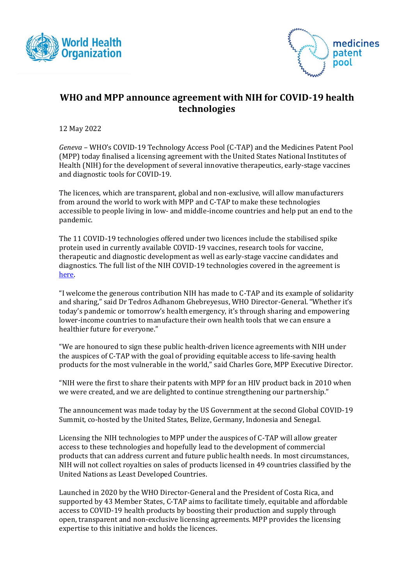



## **WHO and MPP announce agreement with NIH for COVID-19 health technologies**

12 May 2022

*Geneva* – WHO's COVID-19 Technology Access Pool (C-TAP) and the Medicines Patent Pool (MPP) today finalised a licensing agreement with the United States National Institutes of Health (NIH) for the development of several innovative therapeutics, early-stage vaccines and diagnostic tools for COVID-19.

The licences, which are transparent, global and non-exclusive, will allow manufacturers from around the world to work with MPP and C-TAP to make these technologies accessible to people living in low- and middle-income countries and help put an end to the pandemic.

The 11 COVID-19 technologies offered under two licences include the stabilised spike protein used in currently available COVID-19 vaccines, research tools for vaccine, therapeutic and diagnostic development as well as early-stage vaccine candidates and diagnostics. The full list of the NIH COVID-19 technologies covered in the agreement is [here.](https://medicinespatentpool.org/progress-achievements/licences)

"I welcome the generous contribution NIH has made to C-TAP and its example of solidarity and sharing," said Dr Tedros Adhanom Ghebreyesus, WHO Director-General. "Whether it's today's pandemic or tomorrow's health emergency, it's through sharing and empowering lower-income countries to manufacture their own health tools that we can ensure a healthier future for everyone."

"We are honoured to sign these public health-driven licence agreements with NIH under the auspices of C-TAP with the goal of providing equitable access to life-saving health products for the most vulnerable in the world," said Charles Gore, MPP Executive Director.

"NIH were the first to share their patents with MPP for an [HIV product](https://medicinespatentpool.org/licence-post/patents-related-to-darunavir) back in 2010 when we were created, and we are delighted to continue strengthening our partnership."

The announcement was made today by the US Government at the second Global COVID-19 Summit, co-hosted by the United States, Belize, Germany, Indonesia and Senegal.

Licensing the NIH technologies to MPP under the auspices of C-TAP will allow greater access to these technologies and hopefully lead to the development of commercial products that can address current and future public health needs. In most circumstances, NIH will not collect royalties on sales of products licensed in 49 countries classified by the United Nations as Least Developed Countries.

Launched in 2020 by the WHO Director-General and the President of Costa Rica, and supported by 43 Member States, [C-TAP](https://www.who.int/initiatives/covid-19-technology-access-pool) aims to facilitate timely, equitable and affordable access to COVID-19 health products by boosting their production and supply through open, transparent and non-exclusive licensing agreements. [MPP](https://medicinespatentpool.org/) provides the licensing expertise to this initiative and holds the licences.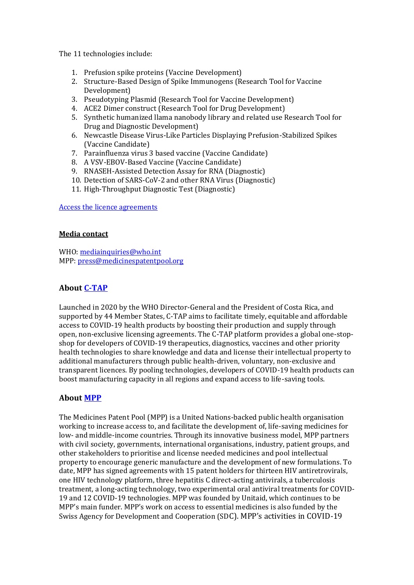The 11 technologies include:

- 1. Prefusion spike proteins (Vaccine Development)
- 2. Structure-Based Design of Spike Immunogens (Research Tool for Vaccine Development)
- 3. Pseudotyping Plasmid (Research Tool for Vaccine Development)
- 4. ACE2 Dimer construct (Research Tool for Drug Development)
- 5. Synthetic humanized llama nanobody library and related use Research Tool for Drug and Diagnostic Development)
- 6. Newcastle Disease Virus-Like Particles Displaying Prefusion-Stabilized Spikes (Vaccine Candidate)
- 7. Parainfluenza virus 3 based vaccine (Vaccine Candidate)
- 8. A VSV-EBOV-Based Vaccine (Vaccine Candidate)
- 9. RNASEH-Assisted Detection Assay for RNA (Diagnostic)
- 10. Detection of SARS-CoV-2 and other RNA Virus (Diagnostic)
- 11. High-Throughput Diagnostic Test (Diagnostic)

[Access the licence agreements](https://medicinespatentpool.org/progress-achievements/licences)

## **Media contact**

WHO: [mediainquiries@who.int](mailto:mediainquiries@who.int) MPP: [press@medicinespatentpool.org](mailto:press@medicinespatentpool.org)

## **About [C-TAP](https://www.who.int/initiatives/covid-19-technology-access-pool)**

Launched in 2020 by the WHO Director-General and the President of Costa Rica, and supported by 44 Member States, C-TAP aims to facilitate timely, equitable and affordable access to COVID-19 health products by boosting their production and supply through open, non-exclusive licensing agreements. The C-TAP platform provides a global one-stopshop for developers of COVID-19 therapeutics, diagnostics, vaccines and other priority health technologies to share knowledge and data and license their intellectual property to additional manufacturers through public health-driven, voluntary, non-exclusive and transparent licences. By pooling technologies, developers of COVID-19 health products can boost manufacturing capacity in all regions and expand access to life-saving tools.

## **About [MPP](https://medicinespatentpool.org/)**

The Medicines Patent Pool (MPP) is a United Nations-backed public health organisation working to increase access to, and facilitate the development of, life-saving medicines for low- and middle-income countries. Through its innovative business model, MPP partners with civil society, governments, international organisations, industry, patient groups, and other stakeholders to prioritise and license needed medicines and pool intellectual property to encourage generic manufacture and the development of new formulations. To date, MPP has signed agreements with 15 patent holders for thirteen HIV antiretrovirals, one HIV technology platform, three hepatitis C direct-acting antivirals, a tuberculosis treatment, a long-acting technology, two experimental oral antiviral treatments for COVID-19 and 12 COVID-19 technologies. MPP was founded by Unitaid, which continues to be MPP's main funder. MPP's work on access to essential medicines is also funded by the Swiss Agency for Development and Cooperation (SDC). MPP's activities in COVID-19